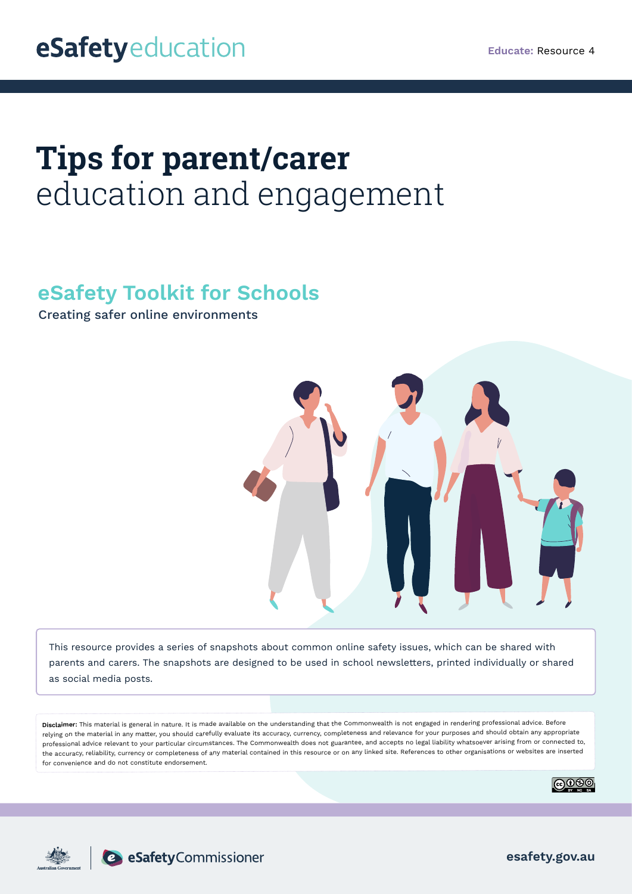# **Tips for parent/carer**  education and engagement

# **eSafety Toolkit for Schools**

Creating safer online environments



This resource provides a series of snapshots about common online safety issues, which can be shared with parents and carers. The snapshots are designed to be used in school newsletters, printed individually or shared as social media posts.

**Disclaimer:** This material is general in nature. It is made available on the understanding that the Commonwealth is not engaged in rendering professional advice. Before relying on the material in any matter, you should carefully evaluate its accuracy, currency, completeness and relevance for your purposes and should obtain any appropriate professional advice relevant to your particular circumstances. The Commonwealth does not guarantee, and accepts no legal liability whatsoever arising from or connected to, the accuracy, reliability, currency or completeness of any material contained in this resource or on any linked site. References to other organisations or websites are inserted for convenience and do not constitute endorsement.





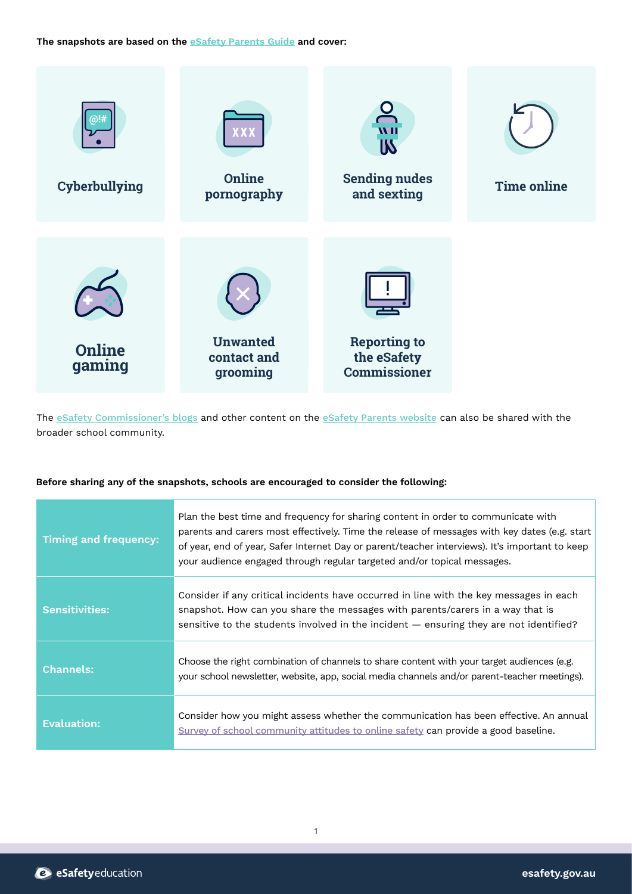**The snapshots are based on the [eSafety Parents Guide](https://www.esafety.gov.au/parents/online-safety-guide) and cover:**



The [eSafety Commissioner's blogs](https://www.esafety.gov.au/about-us/blog) and other content on the [eSafety Parents website](https://www.esafety.gov.au/parents) can also be shared with the broader school community.

# **Before sharing any of the snapshots, schools are encouraged to consider the following:**

| <b>Timing and frequency:</b> | Plan the best time and frequency for sharing content in order to communicate with<br>parents and carers most effectively. Time the release of messages with key dates (e.g. start<br>of year, end of year, Safer Internet Day or parent/teacher interviews). It's important to keep<br>your audience engaged through regular targeted and/or topical messages. |
|------------------------------|----------------------------------------------------------------------------------------------------------------------------------------------------------------------------------------------------------------------------------------------------------------------------------------------------------------------------------------------------------------|
| Sensitivities:               | Consider if any critical incidents have occurred in line with the key messages in each<br>snapshot. How can you share the messages with parents/carers in a way that is<br>sensitive to the students involved in the incident - ensuring they are not identified?                                                                                              |
| <b>Channels:</b>             | Choose the right combination of channels to share content with your target audiences (e.g.<br>your school newsletter, website, app, social media channels and/or parent-teacher meetings).                                                                                                                                                                     |
| <b>Evaluation:</b>           | Consider how you might assess whether the communication has been effective. An annual<br>Survey of school community attitudes to online safety can provide a good baseline.                                                                                                                                                                                    |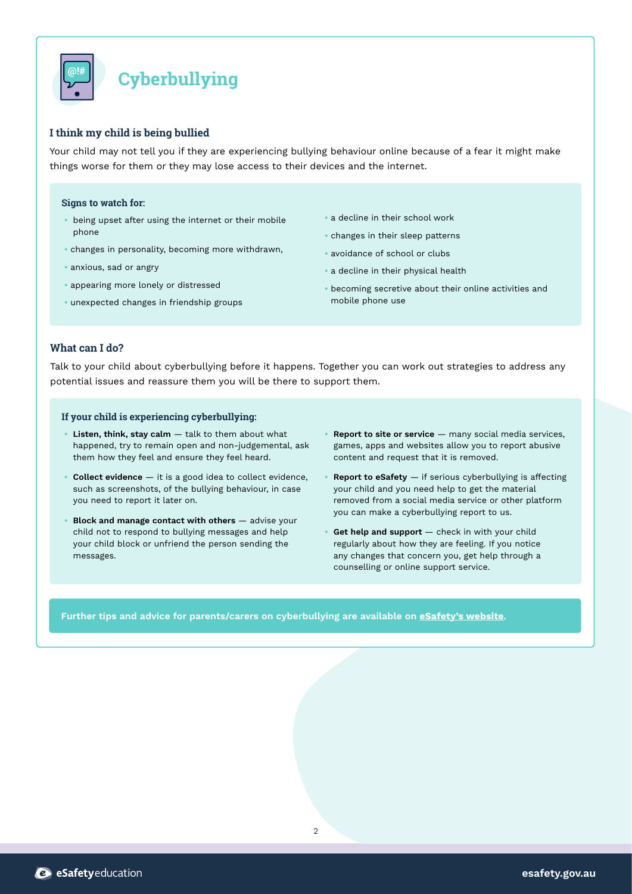

# **Cyberbullying**

# **I think my child is being bullied**

Your child may not tell you if they are experiencing bullying behaviour online because of a fear it might make things worse for them or they may lose access to their devices and the internet.

#### **Signs to watch for:**

- being upset after using the internet or their mobile phone
- changes in personality, becoming more withdrawn,
- anxious, sad or angry
- appearing more lonely or distressed
- unexpected changes in friendship groups
- a decline in their school work
- changes in their sleep patterns
- avoidance of school or clubs
- a decline in their physical health
- becoming secretive about their online activities and mobile phone use

### **What can I do?**

Talk to your child about cyberbullying before it happens. Together you can work out strategies to address any potential issues and reassure them you will be there to support them.

#### **If your child is experiencing cyberbullying:**

- **Listen, think, stay calm** talk to them about what happened, try to remain open and non-judgemental, ask them how they feel and ensure they feel heard.
- **Collect evidence** it is a good idea to collect evidence, such as screenshots, of the bullying behaviour, in case you need to report it later on.
- **Block and manage contact with others** advise your child not to respond to bullying messages and help your child block or unfriend the person sending the messages.
- **Report to site or service** many social media services, games, apps and websites allow you to report abusive content and request that it is removed.
- **Report to eSafety**  $-$  if serious cyberbullying is affecting your child and you need help to get the material removed from a social media service or other platform you can make a cyberbullying report to us.
- **Get help and support**  check in with your child regularly about how they are feeling. If you notice any changes that concern you, get help through a counselling or online support service.

**Further tips and advice for parents/carers on cyberbullying are available on [eSafety's website](https://www.esafety.gov.au/parents).**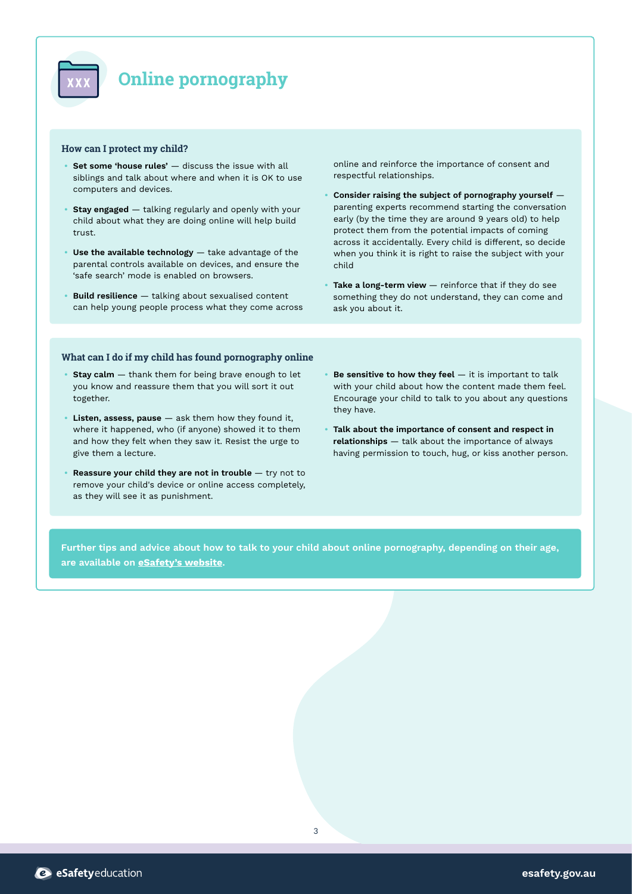

# **Online pornography**

#### **How can I protect my child?**

- **Set some 'house rules'** discuss the issue with all siblings and talk about where and when it is OK to use computers and devices.
- **Stay engaged** talking regularly and openly with your child about what they are doing online will help build trust.
- **• Use the available technology** take advantage of the parental controls available on devices, and ensure the 'safe search' mode is enabled on browsers.
- **Build resilience** talking about sexualised content can help young people process what they come across

online and reinforce the importance of consent and respectful relationships.

- **Consider raising the subject of pornography yourself** parenting experts recommend starting the conversation early (by the time they are around 9 years old) to help protect them from the potential impacts of coming across it accidentally. Every child is different, so decide when you think it is right to raise the subject with your child
- **• Take a long-term view**  reinforce that if they do see something they do not understand, they can come and ask you about it.

#### **What can I do if my child has found pornography online**

- **Stay calm** thank them for being brave enough to let you know and reassure them that you will sort it out together.
- **Listen, assess, pause** ask them how they found it, where it happened, who (if anyone) showed it to them and how they felt when they saw it. Resist the urge to give them a lecture.
- **Reassure your child they are not in trouble**  $-$  try not to remove your child's device or online access completely, as they will see it as punishment.
- **Be sensitive to how they feel**  $-$  it is important to talk with your child about how the content made them feel. Encourage your child to talk to you about any questions they have.
- **Talk about the importance of consent and respect in relationships** — talk about the importance of always having permission to touch, hug, or kiss another person.

**Further tips and advice about how to talk to your child about online pornography, depending on their age, are available on [eSafety's website](https://www.esafety.gov.au/parents).**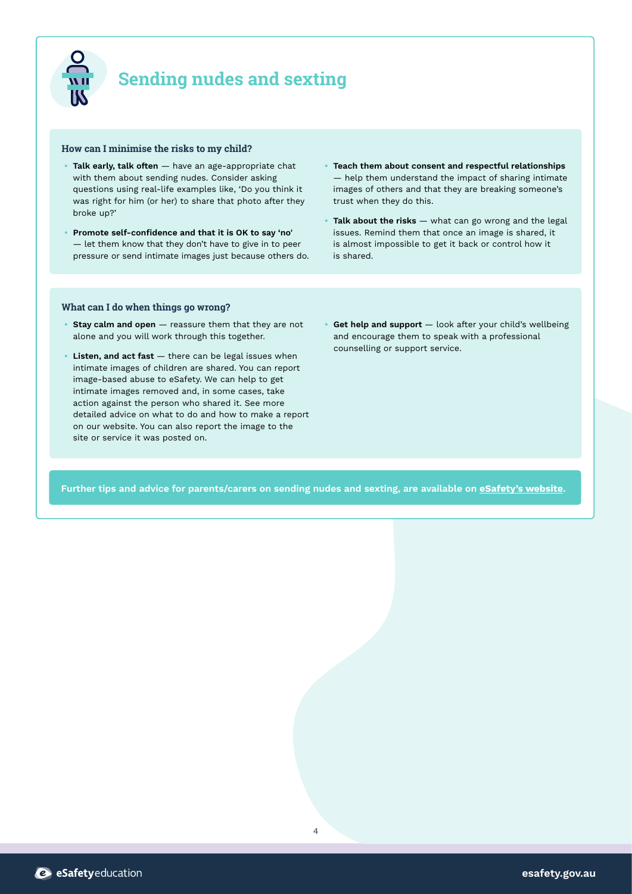

# **Sending nudes and sexting**

#### **How can I minimise the risks to my child?**

- **Talk early, talk often** have an age-appropriate chat with them about sending nudes. Consider asking questions using real-life examples like, 'Do you think it was right for him (or her) to share that photo after they broke up?'
- **Promote self-confidence and that it is OK to say 'no'** — let them know that they don't have to give in to peer pressure or send intimate images just because others do.
- **Teach them about consent and respectful relationships**  — help them understand the impact of sharing intimate images of others and that they are breaking someone's trust when they do this.
- **Talk about the risks** what can go wrong and the legal issues. Remind them that once an image is shared, it is almost impossible to get it back or control how it is shared.

#### **What can I do when things go wrong?**

- **Stay calm and open** reassure them that they are not alone and you will work through this together.
- **Listen, and act fast** there can be legal issues when intimate images of children are shared. You can report image-based abuse to eSafety. We can help to get intimate images removed and, in some cases, take action against the person who shared it. See more detailed advice on what to do and how to make a report on our website. You can also report the image to the site or service it was posted on.
- **Get help and support** look after your child's wellbeing and encourage them to speak with a professional counselling or support service.

**Further tips and advice for parents/carers on sending nudes and sexting, are available on [eSafety's website](https://www.esafety.gov.au/parents).**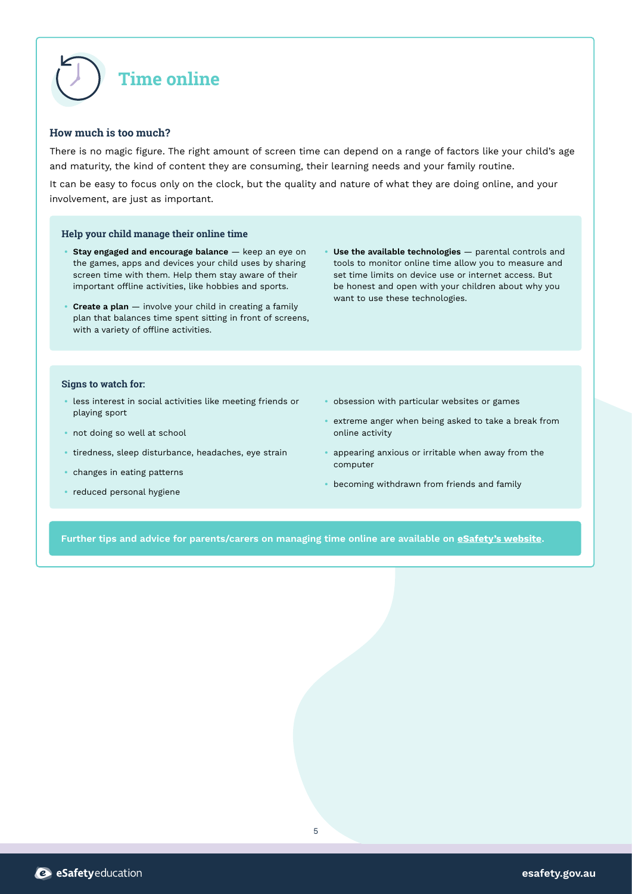

## **How much is too much?**

There is no magic figure. The right amount of screen time can depend on a range of factors like your child's age and maturity, the kind of content they are consuming, their learning needs and your family routine.

It can be easy to focus only on the clock, but the quality and nature of what they are doing online, and your involvement, are just as important.

#### **Help your child manage their online time**

- **Stay engaged and encourage balance** keep an eye on the games, apps and devices your child uses by sharing screen time with them. Help them stay aware of their important offline activities, like hobbies and sports.
- **Create a plan** involve your child in creating a family plan that balances time spent sitting in front of screens, with a variety of offline activities.
- **Use the available technologies** parental controls and tools to monitor online time allow you to measure and set time limits on device use or internet access. But be honest and open with your children about why you want to use these technologies.

#### **Signs to watch for:**

- less interest in social activities like meeting friends or playing sport
- not doing so well at school
- tiredness, sleep disturbance, headaches, eye strain
- changes in eating patterns
- reduced personal hygiene
- obsession with particular websites or games
- extreme anger when being asked to take a break from online activity
- appearing anxious or irritable when away from the computer
- becoming withdrawn from friends and family

**Further tips and advice for parents/carers on managing time online are available on [eSafety's website](https://www.esafety.gov.au/parents).**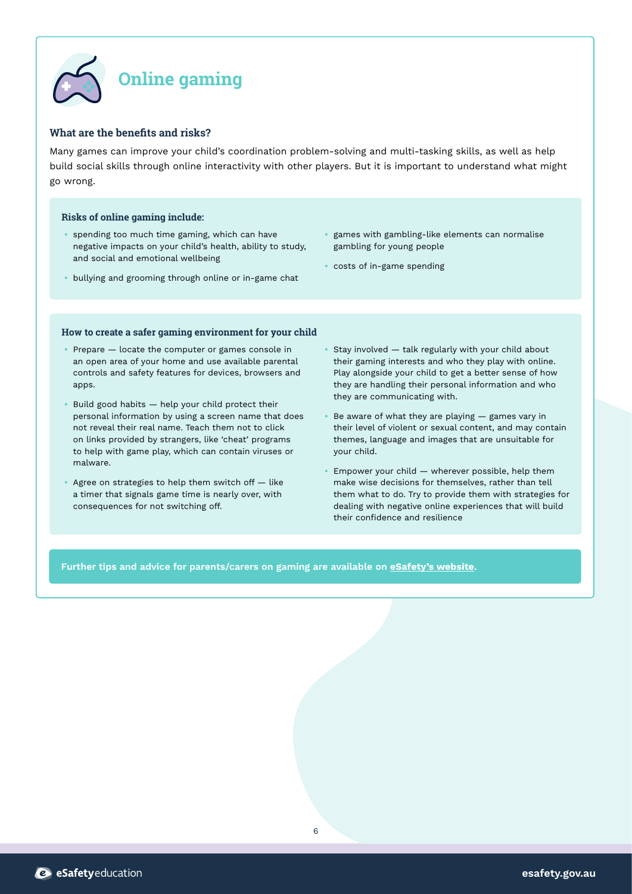

# **What are the benefits and risks?**

Many games can improve your child's coordination problem-solving and multi-tasking skills, as well as help build social skills through online interactivity with other players. But it is important to understand what might go wrong.

### **Risks of online gaming include:**

- spending too much time gaming, which can have negative impacts on your child's health, ability to study, and social and emotional wellbeing
- bullying and grooming through online or in-game chat
- games with gambling-like elements can normalise gambling for young people
- costs of in-game spending

#### **How to create a safer gaming environment for your child**

- Prepare locate the computer or games console in an open area of your home and use available parental controls and safety features for devices, browsers and apps.
- Build good habits help your child protect their personal information by using a screen name that does not reveal their real name. Teach them not to click on links provided by strangers, like 'cheat' programs to help with game play, which can contain viruses or malware.
- Agree on strategies to help them switch off like a timer that signals game time is nearly over, with consequences for not switching off.
- Stay involved talk regularly with your child about their gaming interests and who they play with online. Play alongside your child to get a better sense of how they are handling their personal information and who they are communicating with.
- Be aware of what they are playing games vary in their level of violent or sexual content, and may contain themes, language and images that are unsuitable for your child.
- Empower your child wherever possible, help them make wise decisions for themselves, rather than tell them what to do. Try to provide them with strategies for dealing with negative online experiences that will build their confidence and resilience

**Further tips and advice for parents/carers on gaming are available on [eSafety's website](https://www.esafety.gov.au/parents).**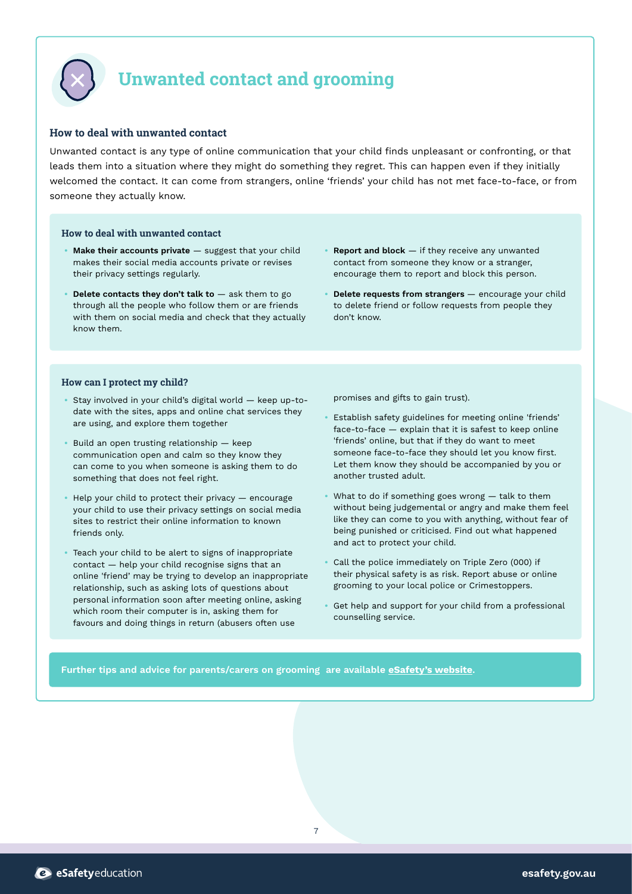

# **Unwanted contact and grooming**

# **How to deal with unwanted contact**

Unwanted contact is any type of online communication that your child finds unpleasant or confronting, or that leads them into a situation where they might do something they regret. This can happen even if they initially welcomed the contact. It can come from strangers, online 'friends' your child has not met face-to-face, or from someone they actually know.

#### **How to deal with unwanted contact**

- **Make their accounts private** suggest that your child makes their social media accounts private or revises their privacy settings regularly.
- **Delete contacts they don't talk to**  $-$  ask them to go through all the people who follow them or are friends with them on social media and check that they actually know them.
- **Report and block** if they receive any unwanted contact from someone they know or a stranger, encourage them to report and block this person.
- **Delete requests from strangers** encourage your child to delete friend or follow requests from people they don't know.

#### **How can I protect my child?**

- Stay involved in your child's digital world keep up-todate with the sites, apps and online chat services they are using, and explore them together
- Build an open trusting relationship keep communication open and calm so they know they can come to you when someone is asking them to do something that does not feel right.
- Help your child to protect their privacy encourage your child to use their privacy settings on social media sites to restrict their online information to known friends only.
- Teach your child to be alert to signs of inappropriate contact — help your child recognise signs that an online 'friend' may be trying to develop an inappropriate relationship, such as asking lots of questions about personal information soon after meeting online, asking which room their computer is in, asking them for favours and doing things in return (abusers often use

promises and gifts to gain trust).

- Establish safety guidelines for meeting online 'friends' face-to-face — explain that it is safest to keep online 'friends' online, but that if they do want to meet someone face-to-face they should let you know first. Let them know they should be accompanied by you or another trusted adult.
- What to do if something goes wrong talk to them without being judgemental or angry and make them feel like they can come to you with anything, without fear of being punished or criticised. Find out what happened and act to protect your child.
- Call the police immediately on Triple Zero (000) if their physical safety is as risk. Report abuse or online grooming to your local police or Crimestoppers.
- Get help and support for your child from a professional counselling service.

### **Further tips and advice for parents/carers on grooming are available [eSafety's website](https://www.esafety.gov.au/parents).**